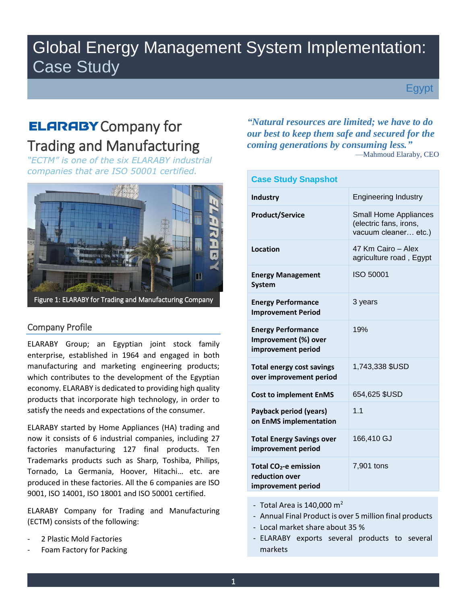# Global Energy Management System Implementation: Case Study

Egypt

# **ELARABY** Company for Trading and Manufacturing

*"ECTM" is one of the six ELARABY industrial companies that are ISO 50001 certified.* 



## Company Profile

ELARABY Group; an Egyptian joint stock family enterprise, established in 1964 and engaged in both manufacturing and marketing engineering products; which contributes to the development of the Egyptian economy. ELARABY is dedicated to providing high quality products that incorporate high technology, in order to satisfy the needs and expectations of the consumer.

ELARABY started by Home Appliances (HA) trading and now it consists of 6 industrial companies, including 27 factories manufacturing 127 final products. Ten Trademarks products such as Sharp, Toshiba, Philips, Tornado, La Germania, Hoover, Hitachi… etc. are produced in these factories. All the 6 companies are ISO 9001, ISO 14001, ISO 18001 and ISO 50001 certified.

ELARABY Company for Trading and Manufacturing (ECTM) consists of the following:

- 2 Plastic Mold Factories
- Foam Factory for Packing

*"Natural resources are limited; we have to do our best to keep them safe and secured for the coming generations by consuming less."* —Mahmoud Elaraby, CEO

| <b>Case Study Snapshot</b>                                                |                                                                                |
|---------------------------------------------------------------------------|--------------------------------------------------------------------------------|
| <b>Industry</b>                                                           | <b>Engineering Industry</b>                                                    |
| <b>Product/Service</b>                                                    | <b>Small Home Appliances</b><br>(electric fans, irons,<br>vacuum cleaner etc.) |
| Location                                                                  | 47 Km Cairo - Alex<br>agriculture road, Egypt                                  |
| <b>Energy Management</b><br><b>System</b>                                 | ISO 50001                                                                      |
| <b>Energy Performance</b><br><b>Improvement Period</b>                    | 3 years                                                                        |
| <b>Energy Performance</b><br>Improvement (%) over<br>improvement period   | 19%                                                                            |
| <b>Total energy cost savings</b><br>over improvement period               | 1,743,338 \$USD                                                                |
| <b>Cost to implement EnMS</b>                                             | 654,625 \$USD                                                                  |
| Payback period (years)<br>on EnMS implementation                          | 1.1                                                                            |
| <b>Total Energy Savings over</b><br>improvement period                    | 166,410 GJ                                                                     |
| Total CO <sub>2</sub> -e emission<br>reduction over<br>improvement period | 7,901 tons                                                                     |

- Total Area is  $140,000 \text{ m}^2$
- Annual Final Product is over 5 million final products
- Local market share about 35 %
- ELARABY exports several products to several markets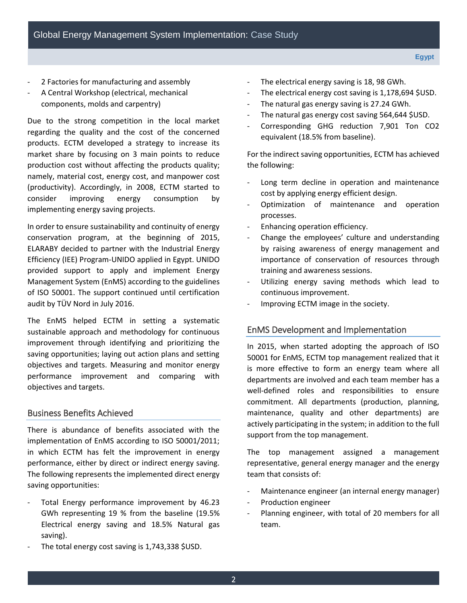- 
- 2 Factories for manufacturing and assembly A Central Workshop (electrical, mechanical components, molds and carpentry)

Due to the strong competition in the local market regarding the quality and the cost of the concerned products. ECTM developed a strategy to increase its market share by focusing on 3 main points to reduce production cost without affecting the products quality; namely, material cost, energy cost, and manpower cost (productivity). Accordingly, in 2008, ECTM started to consider improving energy consumption by implementing energy saving projects.

In order to ensure sustainability and continuity of energy conservation program, at the beginning of 2015, ELARABY decided to partner with the Industrial Energy Efficiency (IEE) Program-UNIDO applied in Egypt. UNIDO provided support to apply and implement Energy Management System (EnMS) according to the guidelines of ISO 50001. The support continued until certification audit by TÜV Nord in July 2016.

The EnMS helped ECTM in setting a systematic sustainable approach and methodology for continuous improvement through identifying and prioritizing the saving opportunities; laying out action plans and setting objectives and targets. Measuring and monitor energy performance improvement and comparing with objectives and targets.

### Business Benefits Achieved

There is abundance of benefits associated with the implementation of EnMS according to ISO 50001/2011; in which ECTM has felt the improvement in energy performance, either by direct or indirect energy saving. The following represents the implemented direct energy saving opportunities:

- Total Energy performance improvement by 46.23 GWh representing 19 % from the baseline (19.5% Electrical energy saving and 18.5% Natural gas saving).
- The total energy cost saving is 1,743,338 \$USD.
- The electrical energy saving is 18, 98 GWh.
- The electrical energy cost saving is 1,178,694 \$USD.
- The natural gas energy saving is 27.24 GWh.
- The natural gas energy cost saving 564,644 \$USD.
- Corresponding GHG reduction 7,901 Ton CO2 equivalent (18.5% from baseline).

For the indirect saving opportunities, ECTM has achieved the following:

- Long term decline in operation and maintenance cost by applying energy efficient design.
- Optimization of maintenance and operation processes.
- Enhancing operation efficiency.
- Change the employees' culture and understanding by raising awareness of energy management and importance of conservation of resources through training and awareness sessions.
- Utilizing energy saving methods which lead to continuous improvement.
- Improving ECTM image in the society.

## EnMS Development and Implementation

In 2015, when started adopting the approach of ISO 50001 for EnMS, ECTM top management realized that it is more effective to form an energy team where all departments are involved and each team member has a well-defined roles and responsibilities to ensure commitment. All departments (production, planning, maintenance, quality and other departments) are actively participating in the system; in addition to the full support from the top management.

The top management assigned a management representative, general energy manager and the energy team that consists of:

- Maintenance engineer (an internal energy manager)
- Production engineer
- Planning engineer, with total of 20 members for all team.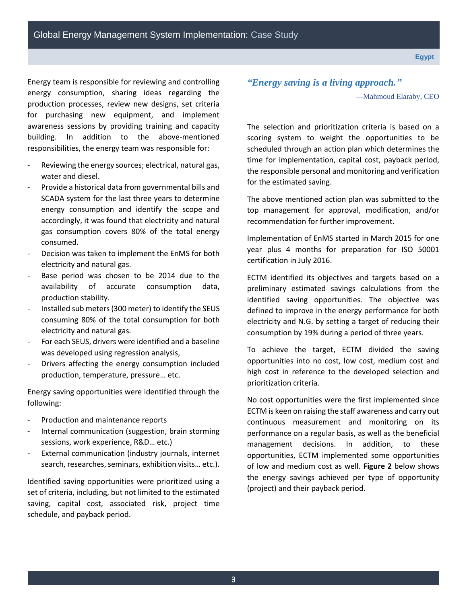3

Energy team is responsible for reviewing and controlling energy consumption, sharing ideas regarding the production processes, review new designs, set criteria for purchasing new equipment, and implement awareness sessions by providing training and capacity building. In addition to the above-mentioned responsibilities, the energy team was responsible for:

- Reviewing the energy sources; electrical, natural gas, water and diesel.
- Provide a historical data from governmental bills and SCADA system for the last three years to determine energy consumption and identify the scope and accordingly, it was found that electricity and natural gas consumption covers 80% of the total energy consumed.
- Decision was taken to implement the EnMS for both electricity and natural gas.
- Base period was chosen to be 2014 due to the availability of accurate consumption data, production stability.
- Installed sub meters (300 meter) to identify the SEUS consuming 80% of the total consumption for both electricity and natural gas.
- For each SEUS, drivers were identified and a baseline was developed using regression analysis,
- Drivers affecting the energy consumption included production, temperature, pressure… etc.

Energy saving opportunities were identified through the following:

- Production and maintenance reports
- Internal communication (suggestion, brain storming sessions, work experience, R&D… etc.)
- External communication (industry journals, internet search, researches, seminars, exhibition visits… etc.).

Identified saving opportunities were prioritized using a set of criteria, including, but not limited to the estimated saving, capital cost, associated risk, project time schedule, and payback period.

*"Energy saving is a living approach."* —Mahmoud Elaraby, CEO

The selection and prioritization criteria is based on a scoring system to weight the opportunities to be scheduled through an action plan which determines the time for implementation, capital cost, payback period, the responsible personal and monitoring and verification for the estimated saving.

The above mentioned action plan was submitted to the top management for approval, modification, and/or recommendation for further improvement.

Implementation of EnMS started in March 2015 for one year plus 4 months for preparation for ISO 50001 certification in July 2016.

ECTM identified its objectives and targets based on a preliminary estimated savings calculations from the identified saving opportunities. The objective was defined to improve in the energy performance for both electricity and N.G. by setting a target of reducing their consumption by 19% during a period of three years.

To achieve the target, ECTM divided the saving opportunities into no cost, low cost, medium cost and high cost in reference to the developed selection and prioritization criteria.

No cost opportunities were the first implemented since ECTM is keen on raising the staff awareness and carry out continuous measurement and monitoring on its performance on a regular basis, as well as the beneficial management decisions. In addition, to these opportunities, ECTM implemented some opportunities of low and medium cost as well. **Figure 2** below shows the energy savings achieved per type of opportunity (project) and their payback period.

**Egypt**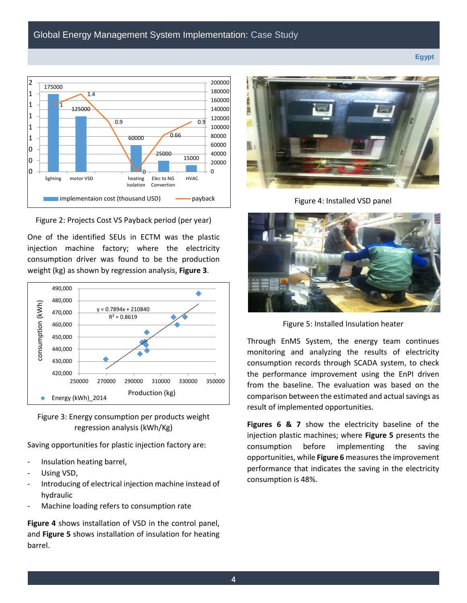

Figure 2: Projects Cost VS Payback period (per year)

One of the identified SEUs in ECTM was the plastic injection machine factory; where the electricity consumption driver was found to be the production weight (kg) as shown by regression analysis, **Figure 3**.



Figure 3: Energy consumption per products weight regression analysis (kWh/Kg)

Saving opportunities for plastic injection factory are:

- Insulation heating barrel,
- Using VSD,
- Introducing of electrical injection machine instead of hydraulic
- Machine loading refers to consumption rate

**Figure 4** shows installation of VSD in the control panel, and **Figure 5** shows installation of insulation for heating barrel.



Figure 4: Installed VSD panel



Figure 5: Installed Insulation heater

Through EnMS System, the energy team continues monitoring and analyzing the results of electricity consumption records through SCADA system, to check the performance improvement using the EnPI driven from the baseline. The evaluation was based on the comparison between the estimated and actual savings as result of implemented opportunities.

**Figures 6 & 7** show the electricity baseline of the injection plastic machines; where **Figure 5** presents the consumption before implementing the saving opportunities, while **Figure 6** measures the improvement performance that indicates the saving in the electricity consumption is 48%.

**Egypt**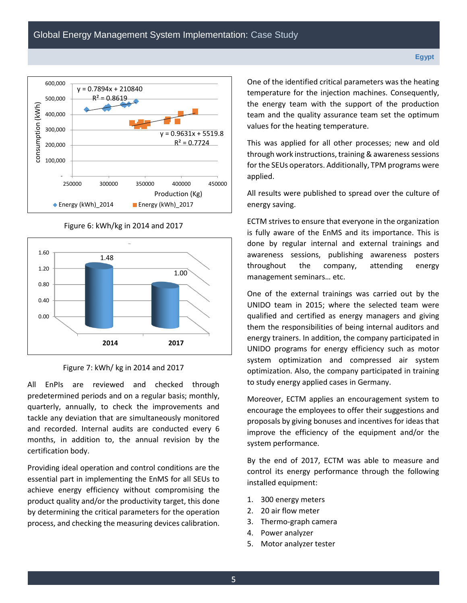

Figure 6: kWh/kg in 2014 and 2017





All EnPIs are reviewed and checked through predetermined periods and on a regular basis; monthly, quarterly, annually, to check the improvements and tackle any deviation that are simultaneously monitored and recorded. Internal audits are conducted every 6 months, in addition to, the annual revision by the certification body.

Providing ideal operation and control conditions are the essential part in implementing the EnMS for all SEUs to achieve energy efficiency without compromising the product quality and/or the productivity target, this done by determining the critical parameters for the operation process, and checking the measuring devices calibration.

One of the identified critical parameters was the heating temperature for the injection machines. Consequently, the energy team with the support of the production team and the quality assurance team set the optimum values for the heating temperature.

This was applied for all other processes; new and old through work instructions, training & awareness sessions for the SEUs operators. Additionally, TPM programs were applied.

All results were published to spread over the culture of energy saving.

ECTM strives to ensure that everyone in the organization is fully aware of the EnMS and its importance. This is done by regular internal and external trainings and awareness sessions, publishing awareness posters throughout the company, attending energy management seminars… etc.

One of the external trainings was carried out by the UNIDO team in 2015; where the selected team were qualified and certified as energy managers and giving them the responsibilities of being internal auditors and energy trainers. In addition, the company participated in UNIDO programs for energy efficiency such as motor system optimization and compressed air system optimization. Also, the company participated in training to study energy applied cases in Germany.

Moreover, ECTM applies an encouragement system to encourage the employees to offer their suggestions and proposals by giving bonuses and incentives for ideas that improve the efficiency of the equipment and/or the system performance.

By the end of 2017, ECTM was able to measure and control its energy performance through the following installed equipment:

- 1. 300 energy meters
- 2. 20 air flow meter
- 3. Thermo-graph camera
- 4. Power analyzer
- 5. Motor analyzer tester